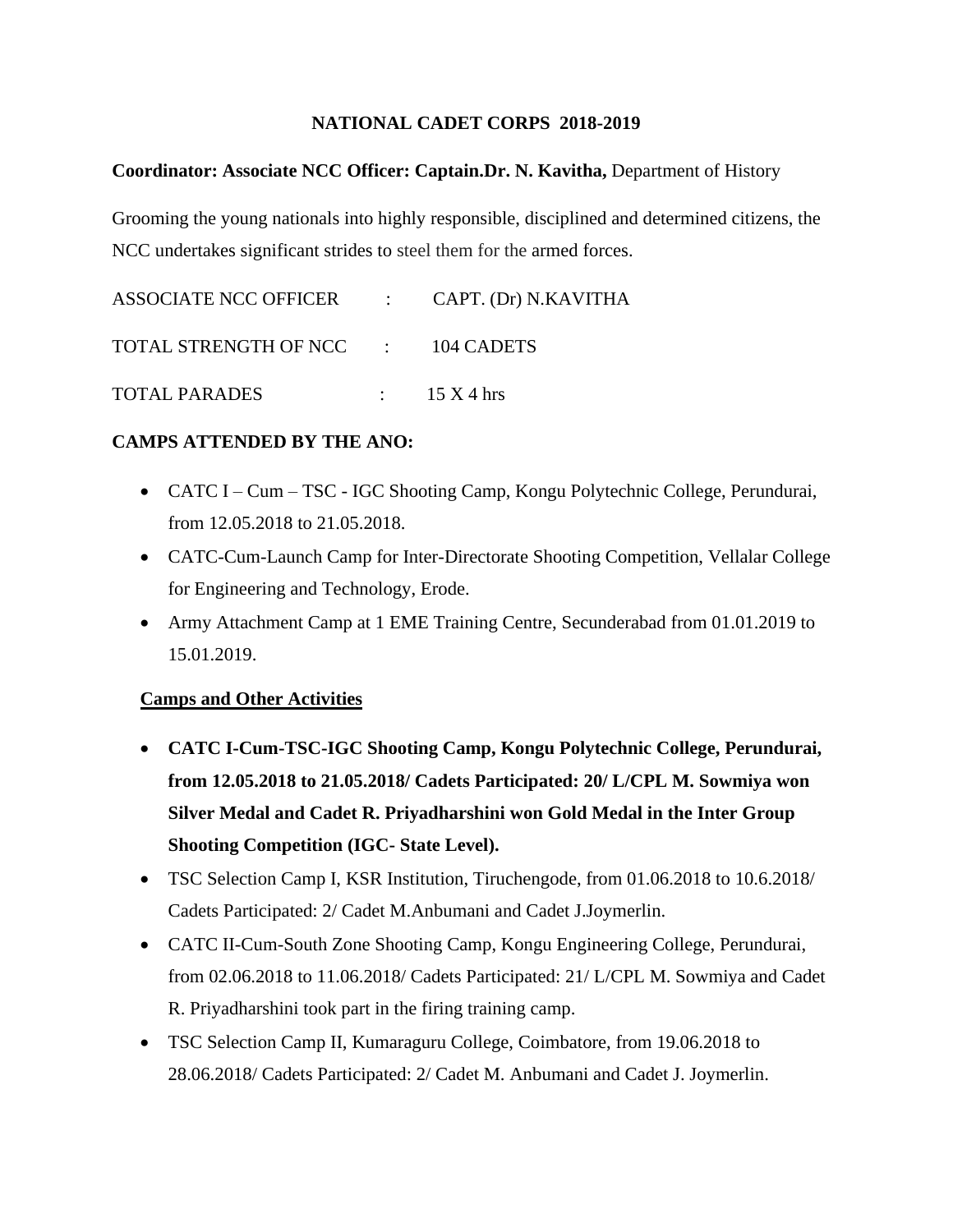## **NATIONAL CADET CORPS 2018-2019**

### **Coordinator: Associate NCC Officer: Captain.Dr. N. Kavitha,** Department of History

Grooming the young nationals into highly responsible, disciplined and determined citizens, the NCC undertakes significant strides to steel them for the armed forces.

| ASSOCIATE NCC OFFICER : CAPT. (Dr) N.KAVITHA |                         |
|----------------------------------------------|-------------------------|
| TOTAL STRENGTH OF NCC : 104 CADETS           |                         |
| <b>TOTAL PARADES</b>                         | $\therefore$ 15 X 4 hrs |

#### **CAMPS ATTENDED BY THE ANO:**

- CATC I Cum TSC IGC Shooting Camp, Kongu Polytechnic College, Perundurai, from 12.05.2018 to 21.05.2018.
- CATC-Cum-Launch Camp for Inter-Directorate Shooting Competition, Vellalar College for Engineering and Technology, Erode.
- Army Attachment Camp at 1 EME Training Centre, Secunderabad from 01.01.2019 to 15.01.2019.

#### **Camps and Other Activities**

- **CATC I-Cum-TSC-IGC Shooting Camp, Kongu Polytechnic College, Perundurai, from 12.05.2018 to 21.05.2018/ Cadets Participated: 20/ L/CPL M. Sowmiya won Silver Medal and Cadet R. Priyadharshini won Gold Medal in the Inter Group Shooting Competition (IGC- State Level).**
- TSC Selection Camp I, KSR Institution, Tiruchengode, from 01.06.2018 to 10.6.2018/ Cadets Participated: 2/ Cadet M.Anbumani and Cadet J.Joymerlin.
- CATC II-Cum-South Zone Shooting Camp, Kongu Engineering College, Perundurai, from 02.06.2018 to 11.06.2018/ Cadets Participated: 21/ L/CPL M. Sowmiya and Cadet R. Priyadharshini took part in the firing training camp.
- TSC Selection Camp II, Kumaraguru College, Coimbatore, from 19.06.2018 to 28.06.2018/ Cadets Participated: 2/ Cadet M. Anbumani and Cadet J. Joymerlin.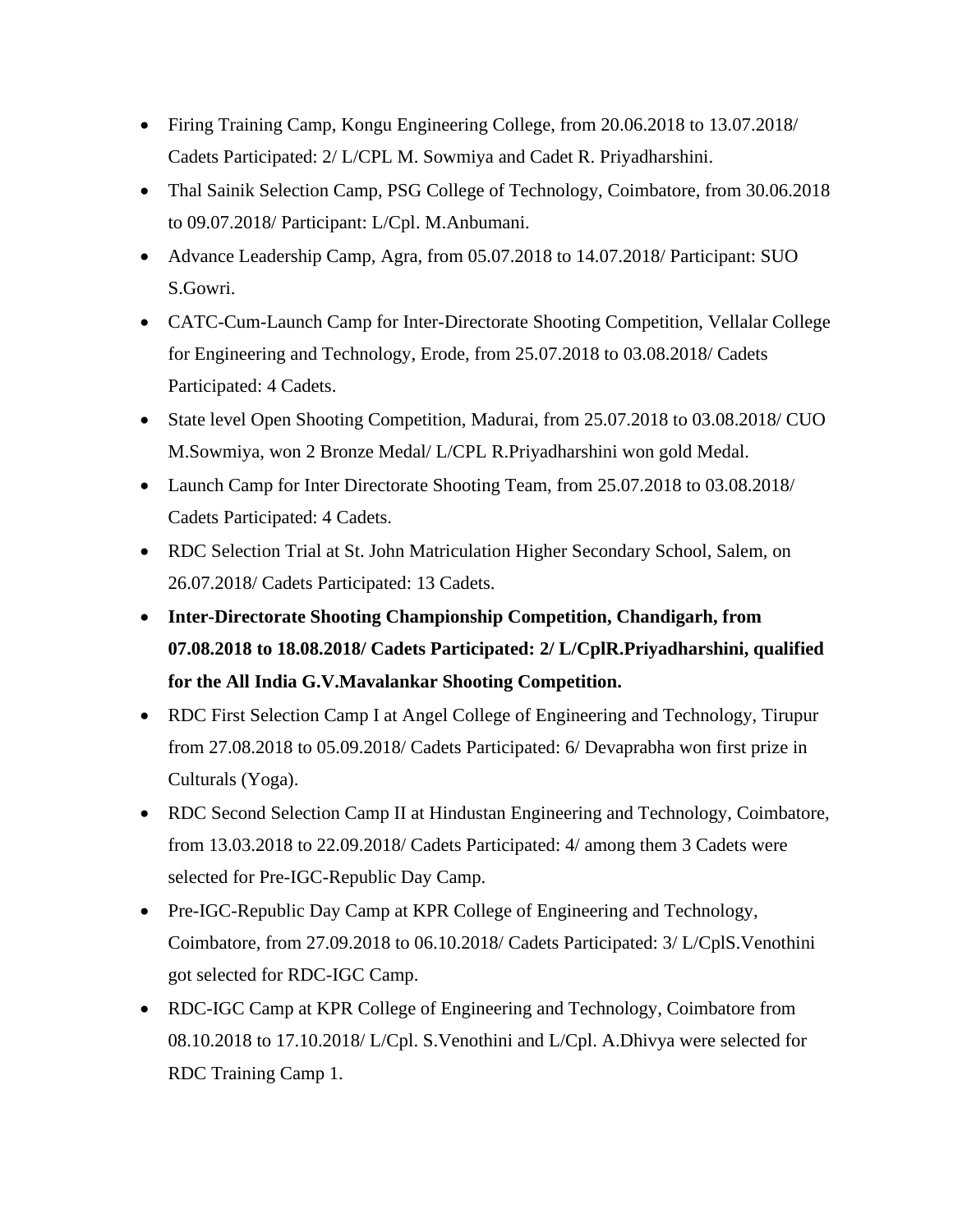- Firing Training Camp, Kongu Engineering College, from 20.06.2018 to 13.07.2018/ Cadets Participated: 2/ L/CPL M. Sowmiya and Cadet R. Priyadharshini.
- Thal Sainik Selection Camp, PSG College of Technology, Coimbatore, from 30.06.2018 to 09.07.2018/ Participant: L/Cpl. M.Anbumani.
- Advance Leadership Camp, Agra, from 05.07.2018 to 14.07.2018/ Participant: SUO S.Gowri.
- CATC-Cum-Launch Camp for Inter-Directorate Shooting Competition, Vellalar College for Engineering and Technology, Erode, from 25.07.2018 to 03.08.2018/ Cadets Participated: 4 Cadets.
- State level Open Shooting Competition, Madurai, from 25.07.2018 to 03.08.2018/ CUO M.Sowmiya, won 2 Bronze Medal/ L/CPL R.Priyadharshini won gold Medal.
- Launch Camp for Inter Directorate Shooting Team, from 25.07.2018 to 03.08.2018/ Cadets Participated: 4 Cadets.
- RDC Selection Trial at St. John Matriculation Higher Secondary School, Salem, on 26.07.2018/ Cadets Participated: 13 Cadets.
- **Inter-Directorate Shooting Championship Competition, Chandigarh, from 07.08.2018 to 18.08.2018/ Cadets Participated: 2/ L/CplR.Priyadharshini, qualified for the All India G.V.Mavalankar Shooting Competition.**
- RDC First Selection Camp I at Angel College of Engineering and Technology, Tirupur from 27.08.2018 to 05.09.2018/ Cadets Participated: 6/ Devaprabha won first prize in Culturals (Yoga).
- RDC Second Selection Camp II at Hindustan Engineering and Technology, Coimbatore, from 13.03.2018 to 22.09.2018/ Cadets Participated: 4/ among them 3 Cadets were selected for Pre-IGC-Republic Day Camp.
- Pre-IGC-Republic Day Camp at KPR College of Engineering and Technology, Coimbatore, from 27.09.2018 to 06.10.2018/ Cadets Participated: 3/ L/CplS.Venothini got selected for RDC-IGC Camp.
- RDC-IGC Camp at KPR College of Engineering and Technology, Coimbatore from 08.10.2018 to 17.10.2018/ L/Cpl. S.Venothini and L/Cpl. A.Dhivya were selected for RDC Training Camp 1.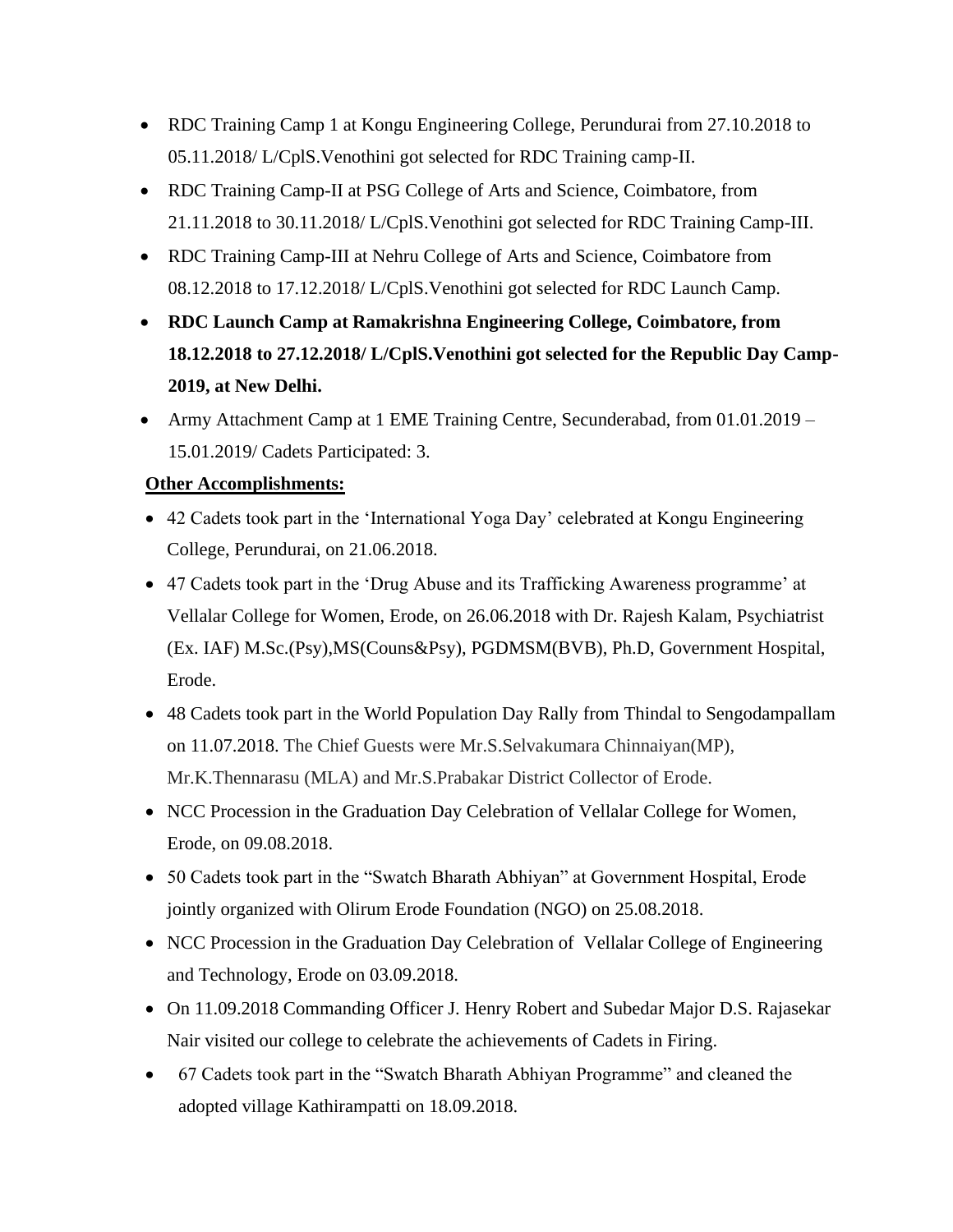- RDC Training Camp 1 at Kongu Engineering College, Perundurai from 27.10.2018 to 05.11.2018/ L/CplS.Venothini got selected for RDC Training camp-II.
- RDC Training Camp-II at PSG College of Arts and Science, Coimbatore, from 21.11.2018 to 30.11.2018/ L/CplS.Venothini got selected for RDC Training Camp-III.
- RDC Training Camp-III at Nehru College of Arts and Science, Coimbatore from 08.12.2018 to 17.12.2018/ L/CplS.Venothini got selected for RDC Launch Camp.
- **RDC Launch Camp at Ramakrishna Engineering College, Coimbatore, from 18.12.2018 to 27.12.2018/ L/CplS.Venothini got selected for the Republic Day Camp-2019, at New Delhi.**
- Army Attachment Camp at 1 EME Training Centre, Secunderabad, from 01.01.2019 15.01.2019/ Cadets Participated: 3.

# **Other Accomplishments:**

- 42 Cadets took part in the 'International Yoga Day' celebrated at Kongu Engineering College, Perundurai, on 21.06.2018.
- 47 Cadets took part in the 'Drug Abuse and its Trafficking Awareness programme' at Vellalar College for Women, Erode, on 26.06.2018 with Dr. Rajesh Kalam, Psychiatrist (Ex. IAF) M.Sc.(Psy),MS(Couns&Psy), PGDMSM(BVB), Ph.D, Government Hospital, Erode.
- 48 Cadets took part in the World Population Day Rally from Thindal to Sengodampallam on 11.07.2018. The Chief Guests were Mr.S.Selvakumara Chinnaiyan(MP), Mr.K.Thennarasu (MLA) and Mr.S.Prabakar District Collector of Erode.
- NCC Procession in the Graduation Day Celebration of Vellalar College for Women, Erode, on 09.08.2018.
- 50 Cadets took part in the "Swatch Bharath Abhiyan" at Government Hospital, Erode jointly organized with Olirum Erode Foundation (NGO) on 25.08.2018.
- NCC Procession in the Graduation Day Celebration of Vellalar College of Engineering and Technology, Erode on 03.09.2018.
- On 11.09.2018 Commanding Officer J. Henry Robert and Subedar Major D.S. Rajasekar Nair visited our college to celebrate the achievements of Cadets in Firing.
- 67 Cadets took part in the "Swatch Bharath Abhiyan Programme" and cleaned the adopted village Kathirampatti on 18.09.2018.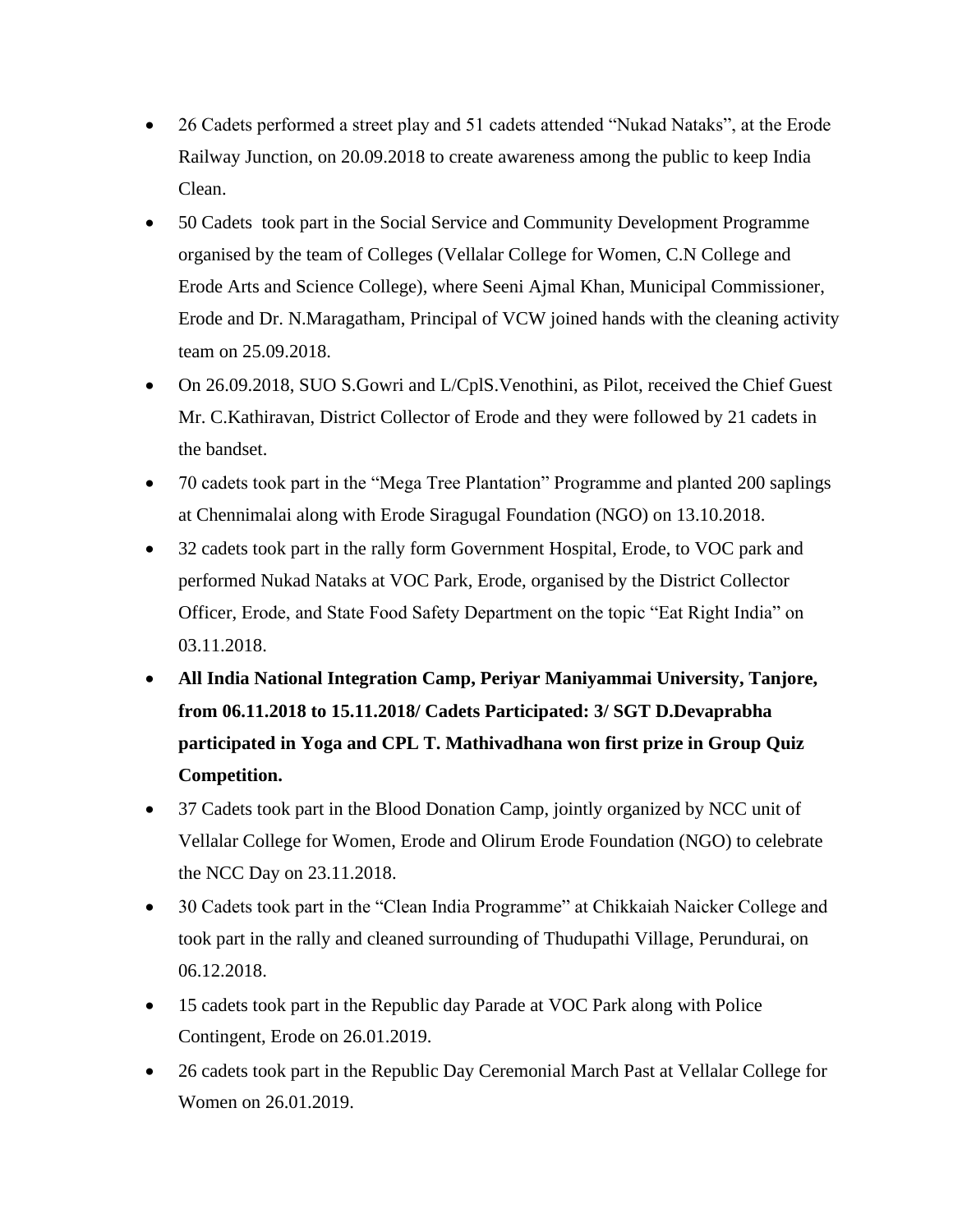- 26 Cadets performed a street play and 51 cadets attended "Nukad Nataks", at the Erode Railway Junction, on 20.09.2018 to create awareness among the public to keep India Clean.
- 50 Cadets took part in the Social Service and Community Development Programme organised by the team of Colleges (Vellalar College for Women, C.N College and Erode Arts and Science College), where Seeni Ajmal Khan, Municipal Commissioner, Erode and Dr. N.Maragatham, Principal of VCW joined hands with the cleaning activity team on 25.09.2018.
- On 26.09.2018, SUO S.Gowri and L/CplS. Venothini, as Pilot, received the Chief Guest Mr. C.Kathiravan, District Collector of Erode and they were followed by 21 cadets in the bandset.
- 70 cadets took part in the "Mega Tree Plantation" Programme and planted 200 saplings at Chennimalai along with Erode Siragugal Foundation (NGO) on 13.10.2018.
- 32 cadets took part in the rally form Government Hospital, Erode, to VOC park and performed Nukad Nataks at VOC Park, Erode, organised by the District Collector Officer, Erode, and State Food Safety Department on the topic "Eat Right India" on 03.11.2018.
- **All India National Integration Camp, Periyar Maniyammai University, Tanjore, from 06.11.2018 to 15.11.2018/ Cadets Participated: 3/ SGT D.Devaprabha participated in Yoga and CPL T. Mathivadhana won first prize in Group Quiz Competition.**
- 37 Cadets took part in the Blood Donation Camp, jointly organized by NCC unit of Vellalar College for Women, Erode and Olirum Erode Foundation (NGO) to celebrate the NCC Day on 23.11.2018.
- 30 Cadets took part in the "Clean India Programme" at Chikkaiah Naicker College and took part in the rally and cleaned surrounding of Thudupathi Village, Perundurai, on 06.12.2018.
- 15 cadets took part in the Republic day Parade at VOC Park along with Police Contingent, Erode on 26.01.2019.
- 26 cadets took part in the Republic Day Ceremonial March Past at Vellalar College for Women on 26.01.2019.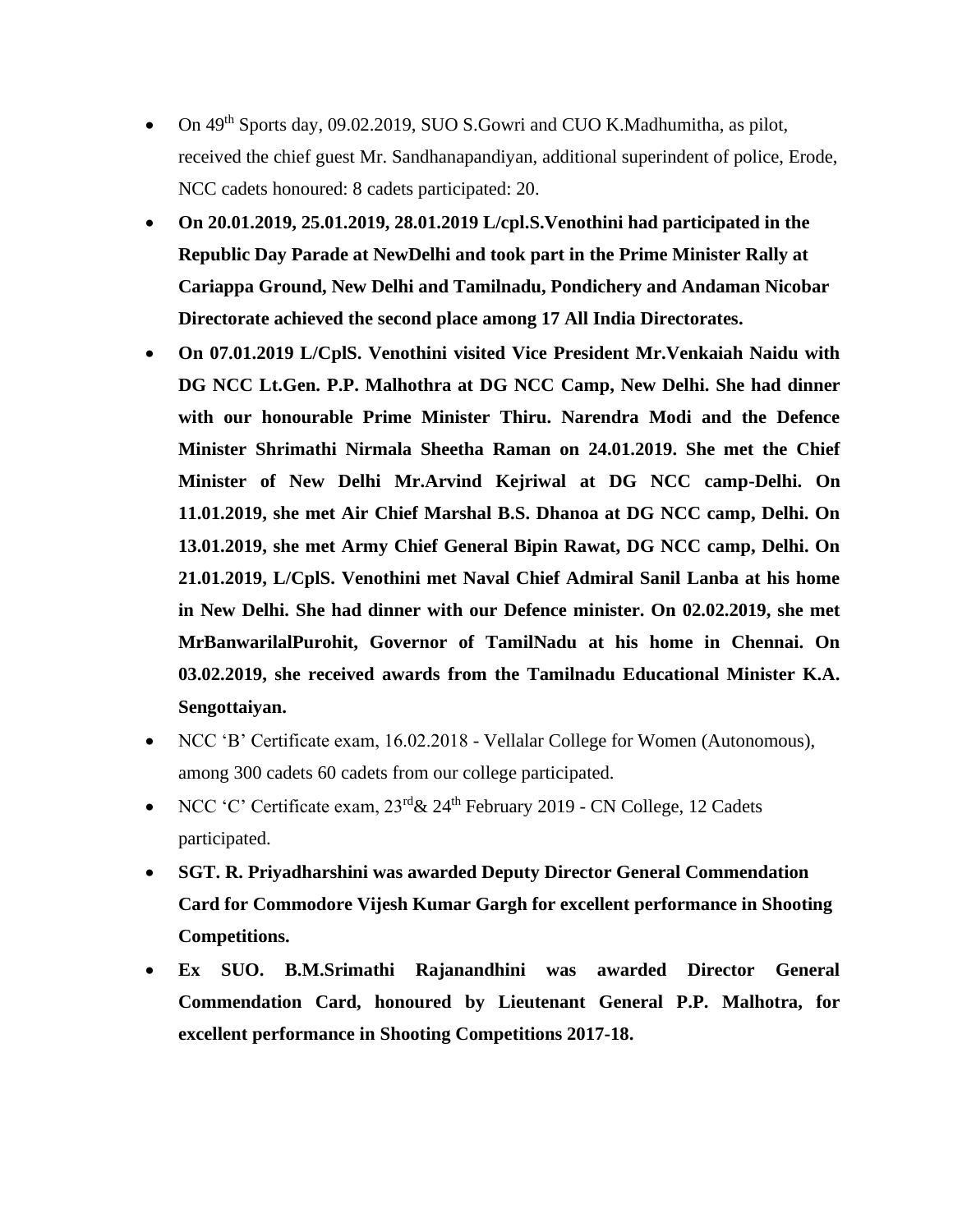- On 49<sup>th</sup> Sports day, 09.02.2019, SUO S.Gowri and CUO K.Madhumitha, as pilot, received the chief guest Mr. Sandhanapandiyan, additional superindent of police, Erode, NCC cadets honoured: 8 cadets participated: 20.
- **On 20.01.2019, 25.01.2019, 28.01.2019 L/cpl.S.Venothini had participated in the Republic Day Parade at NewDelhi and took part in the Prime Minister Rally at Cariappa Ground, New Delhi and Tamilnadu, Pondichery and Andaman Nicobar Directorate achieved the second place among 17 All India Directorates.**
- **On 07.01.2019 L/CplS. Venothini visited Vice President Mr.Venkaiah Naidu with DG NCC Lt.Gen. P.P. Malhothra at DG NCC Camp, New Delhi. She had dinner with our honourable Prime Minister Thiru. Narendra Modi and the Defence Minister Shrimathi Nirmala Sheetha Raman on 24.01.2019. She met the Chief Minister of New Delhi Mr.Arvind Kejriwal at DG NCC camp-Delhi. On 11.01.2019, she met Air Chief Marshal B.S. Dhanoa at DG NCC camp, Delhi. On 13.01.2019, she met Army Chief General Bipin Rawat, DG NCC camp, Delhi. On 21.01.2019, L/CplS. Venothini met Naval Chief Admiral Sanil Lanba at his home in New Delhi. She had dinner with our Defence minister. On 02.02.2019, she met MrBanwarilalPurohit, Governor of TamilNadu at his home in Chennai. On 03.02.2019, she received awards from the Tamilnadu Educational Minister K.A. Sengottaiyan.**
- NCC 'B' Certificate exam, 16.02.2018 Vellalar College for Women (Autonomous), among 300 cadets 60 cadets from our college participated.
- NCC 'C' Certificate exam,  $23^{\text{rd}}$ &  $24^{\text{th}}$  February 2019 CN College, 12 Cadets participated.
- **SGT. R. Priyadharshini was awarded Deputy Director General Commendation Card for Commodore Vijesh Kumar Gargh for excellent performance in Shooting Competitions.**
- **Ex SUO. B.M.Srimathi Rajanandhini was awarded Director General Commendation Card, honoured by Lieutenant General P.P. Malhotra, for excellent performance in Shooting Competitions 2017-18.**